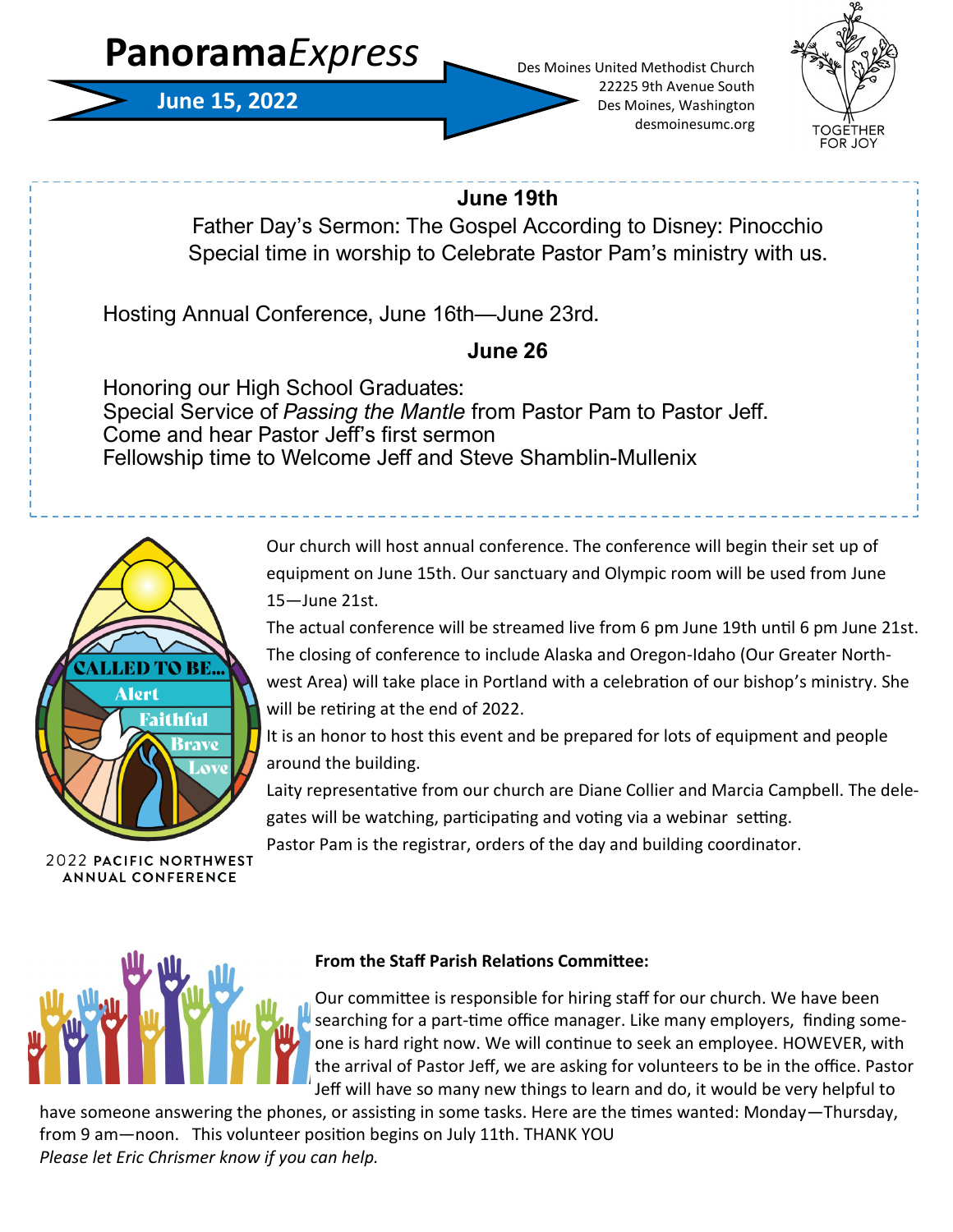# **Panorama***Express*



Des Moines United Methodist Church 22225 9th Avenue South Des Moines, Washington desmoinesumc.org



## **June 19th**

Father Day's Sermon: The Gospel According to Disney: Pinocchio Special time in worship to Celebrate Pastor Pam's ministry with us.

Hosting Annual Conference, June 16th—June 23rd.

# **June 26**

Honoring our High School Graduates: Special Service of *Passing the Mantle* from Pastor Pam to Pastor Jeff. Come and hear Pastor Jeff's first sermon Fellowship time to Welcome Jeff and Steve Shamblin-Mullenix



**2022 PACIFIC NORTHWEST ANNUAL CONFERENCE** 

Our church will host annual conference. The conference will begin their set up of equipment on June 15th. Our sanctuary and Olympic room will be used from June 15—June 21st.

The actual conference will be streamed live from 6 pm June 19th until 6 pm June 21st. The closing of conference to include Alaska and Oregon-Idaho (Our Greater Northwest Area) will take place in Portland with a celebration of our bishop's ministry. She will be retiring at the end of 2022.

It is an honor to host this event and be prepared for lots of equipment and people around the building.

Laity representative from our church are Diane Collier and Marcia Campbell. The delegates will be watching, participating and voting via a webinar setting.

Pastor Pam is the registrar, orders of the day and building coordinator.



## **From the Staff Parish Relations Committee:**

Our committee is responsible for hiring staff for our church. We have been searching for a part-time office manager. Like many employers, finding someone is hard right now. We will continue to seek an employee. HOWEVER, with the arrival of Pastor Jeff, we are asking for volunteers to be in the office. Pastor Jeff will have so many new things to learn and do, it would be very helpful to

have someone answering the phones, or assisting in some tasks. Here are the times wanted: Monday—Thursday, from 9 am—noon. This volunteer position begins on July 11th. THANK YOU *Please let Eric Chrismer know if you can help.*